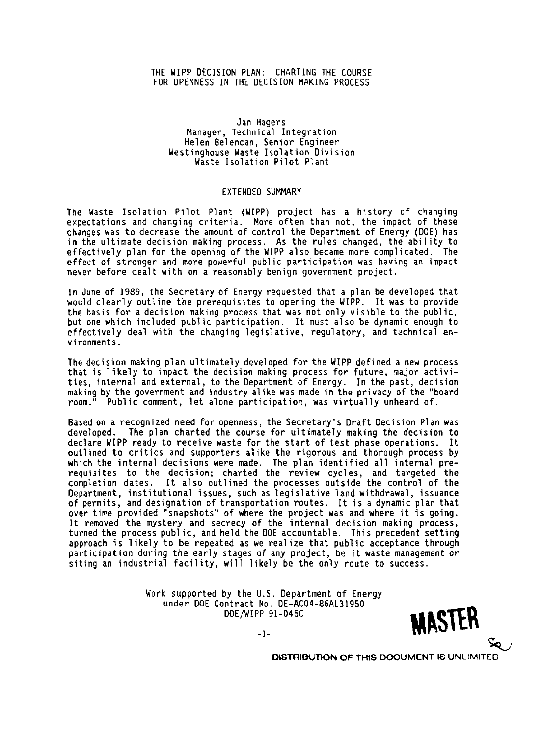## THE WIPP DECISION PLAN: CHARTING THE COURSE FOR OPENNESS IN THE DECISION MAKING PROCESS

## Jan Hagers Manager, Technical Integration Helen Belencan, Senior Engineer<br>Westinghouse Waste Isolation Division Waste Isolation Pilot Plant

## **EXTENDED SUMMARY**

The Waste Isolation Pilot Plant (WIPP) project has a history of changing expectations and changing criteria. More often than not, the impact of these changes was to decrease the amount of control the Department of Energy (DOE) has in the ultimate decision making process. As the rules changed, the ability to effectively plan for the opening of the WIPP also became more complicated. The effect of stronger and more powerful public participation was having an impact never before dealt with on a reasonably benign government project.

In June of 1989, the Secretary of Energy requested that a plan be developed that would clearly outline the prerequisites to opening the WIPP. It was to provide the basis for a decision making process that was not only visible to the public, but one which included public participation. It must also be dynamic enough to effectively deal with the changing legislative, regulatory, and technical environments.

The decision making plan ultimately developed for the WIPP defined a new process that is likely to impact the decision making process for future, major activities, internal and external, to the Department of Energy. In the past, decision<br>making by the government and industry alike was made in the privacy of the "board room." Public comment, let alone participation, was virtually unheard of.

Based on a recognized need for openness, the Secretary's Draft Decision Plan was developed. The plan charted the course for ultimately making the decision to declare WIPP ready to receive waste for the start of test phase operations. It outlined to critics and supporters alike the rigorous and thorough process by which the internal decisions were made. The plan identified all internal prerequisites to the decision; charted the review cycles, and targeted the completion dates. It also outlined the processes outside the control of the Department, institutional issues, such as legislative land withdrawal, issuance of permits, and designation of transportation routes. It is a dynamic plan that over time provided "snapshots" of where the project was and where it is going. It removed the mystery and secrecy of the internal decision making process, turned the process public, and held the DOE accountable. This precedent setting approach is likely to be repeated as we realize that public acceptance through participation during the early stages of any project, be it waste management or siting an industrial facility, will likely be the only route to success.

> Work supported by the U.S. Department of Energy under DOE Contract No. DE-AC04-86AL31950 DOE/WIPP 91-045C



-1-

**DISTRIBUTION OF THIS DOCUMENT IS UNLIMITED**